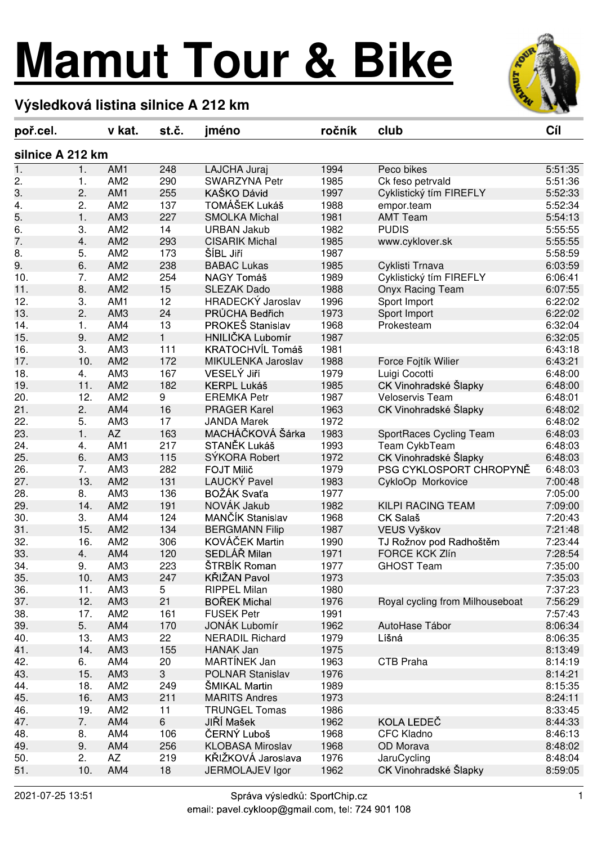## **Mamut Tour & Bike**



## **Výsledková listina silnice A 212 km**

|                  | poř cel |     | v kat.          | st č.        | jméno                   | ročník | club                            | Cíl     |  |  |  |  |
|------------------|---------|-----|-----------------|--------------|-------------------------|--------|---------------------------------|---------|--|--|--|--|
| silnice A 212 km |         |     |                 |              |                         |        |                                 |         |  |  |  |  |
| $\mathbf 1$ .    | 1.      |     | AM1             | 248          | LAJCHA Juraj            | 1994   | Peco bikes                      | 5:51:35 |  |  |  |  |
| 2.               | 1.      |     | AM <sub>2</sub> | 290          | <b>SWARZYNA Petr</b>    | 1985   | Ck feso petrvald                | 5:51:36 |  |  |  |  |
| 3.               | 2.      |     | AM1             | 255          | KAŠKO Dávid             | 1997   | Cyklistický tím FIREFLY         | 5:52:33 |  |  |  |  |
| 4.               | 2.      |     | AM <sub>2</sub> | 137          | TOMÁŠEK Lukáš           | 1988   | empor.team                      | 5:52:34 |  |  |  |  |
| 5.               | 1.      |     | AM <sub>3</sub> | 227          | <b>SMOLKA Michal</b>    | 1981   | <b>AMT Team</b>                 | 5:54:13 |  |  |  |  |
| 6.               | 3.      |     | AM <sub>2</sub> | 14           | <b>URBAN Jakub</b>      | 1982   | <b>PUDIS</b>                    | 5:55:55 |  |  |  |  |
| 7.               | 4.      |     | AM <sub>2</sub> | 293          | <b>CISARIK Michal</b>   | 1985   | www.cyklover.sk                 | 5:55:55 |  |  |  |  |
| 8.               | 5.      |     | AM <sub>2</sub> | 173          | ŠÍBL Jiří               | 1987   |                                 | 5:58:59 |  |  |  |  |
| 9.               | 6.      |     | AM <sub>2</sub> | 238          | <b>BABAC Lukas</b>      | 1985   | Cyklisti Trnava                 | 6:03:59 |  |  |  |  |
| 10.              | 7.      |     | AM <sub>2</sub> | 254          | NAGY Tomáš              | 1989   | Cyklistický tím FIREFLY         | 6:06:41 |  |  |  |  |
| 11.              | 8.      |     | AM <sub>2</sub> | 15           | <b>SLEZAK Dado</b>      | 1988   | Onyx Racing Team                | 6:07:55 |  |  |  |  |
| 12.              | 3.      |     | AM1             | 12           | HRADECKÝ Jaroslav       | 1996   | Sport Import                    | 6:22:02 |  |  |  |  |
| 13.              | 2.      |     | AM <sub>3</sub> | 24           | PRŮCHA Bedřich          | 1973   | Sport Import                    | 6:22:02 |  |  |  |  |
| 14.              |         |     | AM4             | 13           | PROKEŠ Stanislav        | 1968   | Prokesteam                      | 6:32:04 |  |  |  |  |
|                  | 1.      |     |                 |              | HNILIČKA Lubomír        |        |                                 |         |  |  |  |  |
| 15.              | 9.      |     | AM <sub>2</sub> | 1            |                         | 1987   |                                 | 6:32:05 |  |  |  |  |
| 16.              | 3.      |     | AM <sub>3</sub> | 111          | KRATOCHVÍL Tomáš        | 1981   |                                 | 6:43:18 |  |  |  |  |
| 17.              |         | 10. | AM <sub>2</sub> | 172          | MIKULENKA Jaroslav      | 1988   | Force Fojtík Wilier             | 6:43:21 |  |  |  |  |
| 18.              | 4.      |     | AM3             | 167          | VESELÝ Jiří             | 1979   | Luigi Cocotti                   | 6:48:00 |  |  |  |  |
| 19.              |         | 11. | AM <sub>2</sub> | 182          | <b>KERPL Lukáš</b>      | 1985   | CK Vinohradské Šlapky           | 6:48:00 |  |  |  |  |
| 20.              |         | 12. | AM <sub>2</sub> | 9            | <b>EREMKA Petr</b>      | 1987   | <b>Veloservis Team</b>          | 6:48:01 |  |  |  |  |
| 21.              | 2.      |     | AM4             | 16           | <b>PRAGER Karel</b>     | 1963   | CK Vinohradské Šlapky           | 6:48:02 |  |  |  |  |
| 22.              | 5.      |     | AM <sub>3</sub> | 17           | <b>JANDA Marek</b>      | 1972   |                                 | 6:48:02 |  |  |  |  |
| 23.              | 1.      |     | <b>AZ</b>       | 163          | MACHÁČKOVÁ Šárka        | 1983   | SportRaces Cycling Team         | 6:48:03 |  |  |  |  |
| 24.              | 4.      |     | AM1             | 217          | STANĚK Lukáš            | 1993   | Team CykbTeam                   | 6:48:03 |  |  |  |  |
| 25.              | 6.      |     | AM <sub>3</sub> | 115          | SÝKORA Robert           | 1972   | CK Vinohradské Šlapky           | 6:48:03 |  |  |  |  |
| 26.              | 7.      |     | AM <sub>3</sub> | 282          | <b>FOJT Milič</b>       | 1979   | PSG CYKLOSPORT CHROPYNĚ         | 6:48:03 |  |  |  |  |
| 27.              |         | 13. | AM <sub>2</sub> | 131          | LAUCKÝ Pavel            | 1983   | CykloOp Morkovice               | 7:00:48 |  |  |  |  |
| 28.              | 8.      |     | AM3             | 136          | BOŽÁK Svaťa             | 1977   |                                 | 7:05:00 |  |  |  |  |
| 29.              |         | 14. | AM <sub>2</sub> | 191          | NOVÁK Jakub             | 1982   | KILPI RACING TEAM               | 7:09:00 |  |  |  |  |
| 30.              | 3.      |     | AM4             | 124          | MANČÍK Stanislav        | 1968   | CK Salaš                        | 7:20:43 |  |  |  |  |
| 31.              |         | 15. | AM <sub>2</sub> | 134          | <b>BERGMANN Filip</b>   | 1987   | VEUS Vyškov                     | 7:21:48 |  |  |  |  |
| 32.              |         | 16. | AM <sub>2</sub> | 306          | KOVÁČEK Martin          | 1990   | TJ Rožnov pod Radhoštěm         | 7:23:44 |  |  |  |  |
| 33.              | 4.      |     | AM4             | 120          | SEDLÁŘ Milan            | 1971   | <b>FORCE KCK Zlín</b>           | 7:28:54 |  |  |  |  |
| 34.              | 9.      |     | AM3             | 223          | ŠTRBÍK Roman            | 1977   | <b>GHOST Team</b>               | 7:35:00 |  |  |  |  |
| 35.              |         | 10. | AM <sub>3</sub> | 247          | KŘIŽAN Pavol            | 1973   |                                 | 7:35:03 |  |  |  |  |
| 36.              |         | 11. | AM <sub>3</sub> | 5            | <b>RIPPEL Milan</b>     | 1980   |                                 | 7:37:23 |  |  |  |  |
| 37.              |         | 12. | AM <sub>3</sub> | 21           | <b>BOŘEK Michal</b>     | 1976   | Royal cycling from Milhouseboat | 7:56:29 |  |  |  |  |
| 38.              |         | 17. | AM <sub>2</sub> | 161          | <b>FUSEK Petr</b>       | 1991   |                                 | 7:57:43 |  |  |  |  |
| 39.              |         | 5.  | AM4             | 170          | <b>JONÁK Lubomír</b>    | 1962   | AutoHase Tábor                  | 8:06:34 |  |  |  |  |
| 40.              |         | 13. | AM3             | 22           | <b>NERADIL Richard</b>  | 1979   | Líšná                           | 8:06:35 |  |  |  |  |
|                  |         | 14. | AM <sub>3</sub> |              | <b>HANAK Jan</b>        | 1975   |                                 |         |  |  |  |  |
| 41.              |         |     |                 | 155          |                         |        |                                 | 8:13:49 |  |  |  |  |
| 42.              |         | 6.  | AM4             | 20           | <b>MARTÍNEK Jan</b>     | 1963   | CTB Praha                       | 8:14:19 |  |  |  |  |
| 43.              |         | 15. | AM <sub>3</sub> | $\mathbf{3}$ | <b>POLNAR Stanislav</b> | 1976   |                                 | 8:14:21 |  |  |  |  |
| 44.              |         | 18. | AM <sub>2</sub> | 249          | ŠMIKAL Martin           | 1989   |                                 | 8:15:35 |  |  |  |  |
| 45.              |         | 16. | AM <sub>3</sub> | 211          | <b>MARITS Andres</b>    | 1973   |                                 | 8:24:11 |  |  |  |  |
| 46.              |         | 19. | AM <sub>2</sub> | 11           | <b>TRUNGEL Tomas</b>    | 1986   |                                 | 8:33:45 |  |  |  |  |
| 47.              |         | 7.  | AM4             | 6            | JIŘÍ Mašek              | 1962   | KOLA LEDEČ                      | 8:44:33 |  |  |  |  |
| 48.              | 8.      |     | AM4             | 106          | ČERNÝ Luboš             | 1968   | <b>CFC Kladno</b>               | 8:46:13 |  |  |  |  |
| 49.              | 9.      |     | AM4             | 256          | <b>KLOBASA Miroslav</b> | 1968   | OD Morava                       | 8:48:02 |  |  |  |  |
| 50.              | 2.      |     | AZ              | 219          | KŘIŽKOVÁ Jaroslava      | 1976   | JaruCycling                     | 8:48:04 |  |  |  |  |
| 51.              |         | 10. | AM4             | 18           | JERMOLAJEV Igor         | 1962   | CK Vinohradské Šlapky           | 8:59:05 |  |  |  |  |